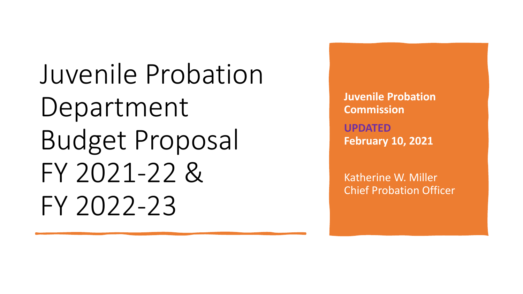Juvenile Probation Department Budget Proposal FY 2021-22 & FY 2022-23

**Juvenile Probation Commission UPDATED February 10, 2021**

Katherine W. Miller Chief Probation Officer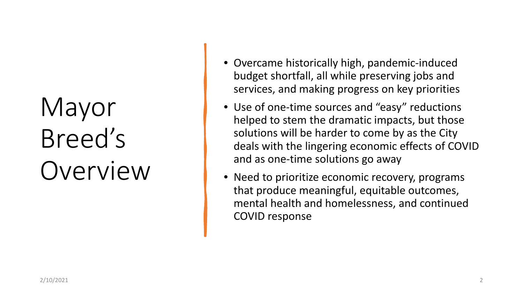# Mayor Breed's Overview

- Overcame historically high, pandemic-induced budget shortfall, all while preserving jobs and services, and making progress on key priorities
- Use of one-time sources and "easy" reductions helped to stem the dramatic impacts, but those solutions will be harder to come by as the City deals with the lingering economic effects of COVID and as one-time solutions go away
- Need to prioritize economic recovery, programs that produce meaningful, equitable outcomes, mental health and homelessness, and continued COVID response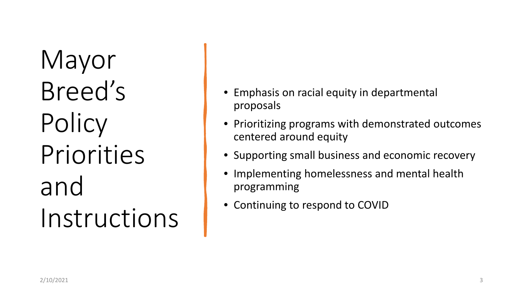Mayor Breed's Policy Priorities and Instructions

- Emphasis on racial equity in departmental proposals
- Prioritizing programs with demonstrated outcomes centered around equity
- Supporting small business and economic recovery
- Implementing homelessness and mental health programming
- Continuing to respond to COVID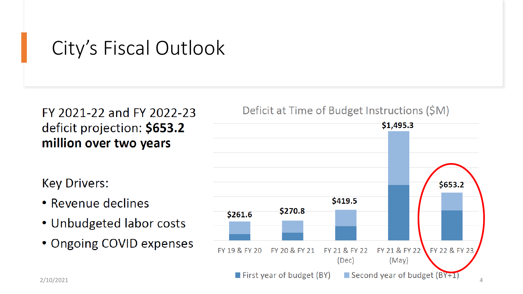## City's Fiscal Outlook

### FY 2021-22 and FY 2022-23 deficit projection: \$653.2 million over two years

**Key Drivers:** 

- Revenue declines
- Unbudgeted labor costs
- Ongoing COVID expenses

#### Deficit at Time of Budget Instructions (\$M)

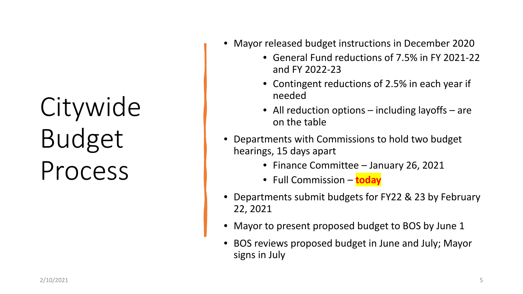# Citywide Budget Process

- Mayor released budget instructions in December 2020
	- General Fund reductions of 7.5% in FY 2021-22 and FY 2022-23
	- Contingent reductions of 2.5% in each year if needed
	- All reduction options including layoffs are on the table
- Departments with Commissions to hold two budget hearings, 15 days apart
	- Finance Committee January 26, 2021
	- Full Commission **today**
- Departments submit budgets for FY22 & 23 by February 22, 2021
- Mayor to present proposed budget to BOS by June 1
- BOS reviews proposed budget in June and July; Mayor signs in July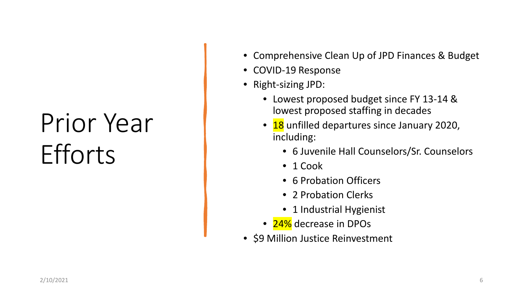# Prior Year **Efforts**

- Comprehensive Clean Up of JPD Finances & Budget
- COVID-19 Response
- Right-sizing JPD:
	- Lowest proposed budget since FY 13-14 & lowest proposed staffing in decades
	- 18 unfilled departures since January 2020, including:
		- 6 Juvenile Hall Counselors/Sr. Counselors
		- 1 Cook
		- 6 Probation Officers
		- 2 Probation Clerks
		- 1 Industrial Hygienist
	- 24% decrease in DPOs
- \$9 Million Justice Reinvestment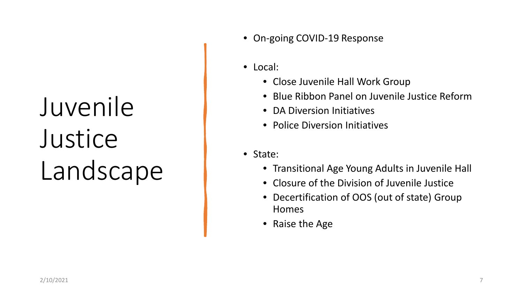# Juvenile **Justice** Landscape

- On-going COVID-19 Response
- Local:
	- Close Juvenile Hall Work Group
	- Blue Ribbon Panel on Juvenile Justice Reform
	- DA Diversion Initiatives
	- Police Diversion Initiatives
- State:
	- Transitional Age Young Adults in Juvenile Hall
	- Closure of the Division of Juvenile Justice
	- Decertification of OOS (out of state) Group Homes
	- Raise the Age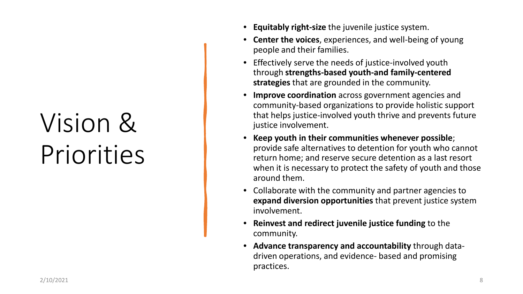# Vision & Priorities

- **Equitably right-size** the juvenile justice system.
- **Center the voices**, experiences, and well-being of young people and their families.
- Effectively serve the needs of justice-involved youth through **strengths-based youth-and family-centered strategies** that are grounded in the community.
- **Improve coordination** across government agencies and community-based organizations to provide holistic support that helps justice-involved youth thrive and prevents future justice involvement.
- **Keep youth in their communities whenever possible**; provide safe alternatives to detention for youth who cannot return home; and reserve secure detention as a last resort when it is necessary to protect the safety of youth and those around them.
- Collaborate with the community and partner agencies to **expand diversion opportunities** that prevent justice system involvement.
- **Reinvest and redirect juvenile justice funding** to the community.
- **Advance transparency and accountability** through datadriven operations, and evidence- based and promising practices.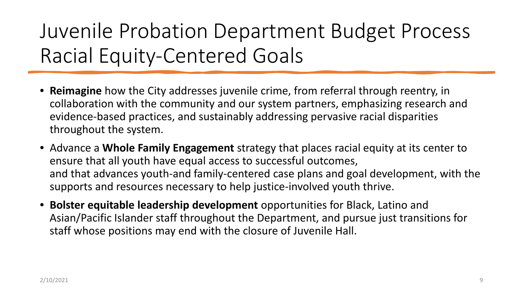## Juvenile Probation Department Budget Process Racial Equity-Centered Goals

- **Reimagine** how the City addresses juvenile crime, from referral through reentry, in collaboration with the community and our system partners, emphasizing research and evidence-based practices, and sustainably addressing pervasive racial disparities throughout the system.
- Advance a **Whole Family Engagement** strategy that places racial equity at its center to ensure that all youth have equal access to successful outcomes, and that advances youth-and family-centered case plans and goal development, with the supports and resources necessary to help justice-involved youth thrive.
- **Bolster equitable leadership development** opportunities for Black, Latino and Asian/Pacific Islander staff throughout the Department, and pursue just transitions for staff whose positions may end with the closure of Juvenile Hall.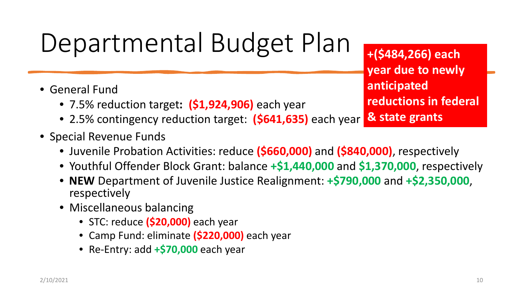## Departmental Budget Plan

- General Fund
	- 7.5% reduction target**: (\$1,924,906)** each year
	- 2.5% contingency reduction target: **(\$641,635)** each year
- Special Revenue Funds
	- Juvenile Probation Activities: reduce **(\$660,000)** and **(\$840,000)**, respectively
	- Youthful Offender Block Grant: balance **+\$1,440,000** and **\$1,370,000**, respectively
	- **NEW** Department of Juvenile Justice Realignment: **+\$790,000** and **+\$2,350,000**, respectively
	- Miscellaneous balancing
		- STC: reduce **(\$20,000)** each year
		- Camp Fund: eliminate **(\$220,000)** each year
		- Re-Entry: add **+\$70,000** each year

**+(\$484,266) each year due to newly anticipated reductions in federal & state grants**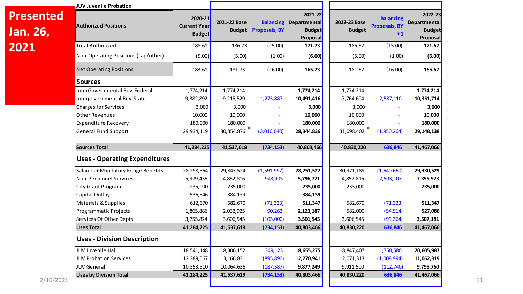|                              | JUV Juvenile Probation               |                                                 |              |                             |                                                                       |                               |                                                  |                                                             |
|------------------------------|--------------------------------------|-------------------------------------------------|--------------|-----------------------------|-----------------------------------------------------------------------|-------------------------------|--------------------------------------------------|-------------------------------------------------------------|
| <b>Presented</b><br>Jan. 26, | <b>Authorized Positions</b>          | 2020-21<br><b>Current Year</b><br><b>Budget</b> | 2021-22 Base | <b>Budget Proposals, BY</b> | 2021-22<br><b>Balancing Departmental</b><br><b>Budget</b><br>Proposal | 2022-23 Base<br><b>Budget</b> | <b>Balancing</b><br><b>Proposals, BY</b><br>$+1$ | 2022-23<br><b>Departmental</b><br><b>Budget</b><br>Proposal |
| 2021                         | <b>Total Authorized</b>              | 188.61                                          | 186.73       | (15.00)                     | 171.73                                                                | 186.62                        | (15.00)                                          | 171.62                                                      |
|                              | Non-Operating Positions (cap/other)  | (5.00)                                          | (5.00)       | (1.00)                      | (6.00)                                                                | (5.00)                        | (1.00)                                           | (6.00)                                                      |
|                              | <b>Net Operating Positions</b>       | 183.61                                          | 181.73       | (16.00)                     | 165.73                                                                | 181.62                        | (16.00)                                          | 165.62                                                      |
|                              | <b>Sources</b>                       |                                                 |              |                             |                                                                       |                               |                                                  |                                                             |
|                              | InterGovernmental Rev-Federal        | 1,774,214                                       | 1,774,214    |                             | 1,774,214                                                             | 1,774,214                     |                                                  | 1,774,214                                                   |
|                              | Intergovernmental Rev-State          | 9,382,892                                       | 9,215,529    | 1,275,887                   | 10,491,416                                                            | 7,764,604                     | 2,587,110                                        | 10,351,714                                                  |
|                              | <b>Charges for Services</b>          | 3,000                                           | 3,000        |                             | 3,000                                                                 | 3,000                         |                                                  | 3,000                                                       |
|                              | <b>Other Revenues</b>                | 10,000                                          | 10,000       |                             | 10,000                                                                | 10,000                        |                                                  | 10,000                                                      |
|                              | <b>Expenditure Recovery</b>          | 180,000                                         | 180,000      |                             | 180,000                                                               | 180,000                       |                                                  | 180,000                                                     |
|                              | <b>General Fund Support</b>          | 29,934,119                                      | 30,354,876   | (2,010,040)                 | 28,344,836                                                            | 31,098,402                    | (1,950,264)                                      | 29,148,138                                                  |
|                              | <b>Sources Total</b>                 | 41,284,225                                      | 41,537,619   | (734, 153)                  | 40,803,466                                                            | 40,830,220                    | 636,846                                          | 41,467,066                                                  |
|                              | <b>Uses - Operating Expenditures</b> |                                                 |              |                             |                                                                       |                               |                                                  |                                                             |
|                              | Salaries + Mandatory Fringe Benefits | 28,298,564                                      | 29,843,524   | (1,591,997)                 | 28, 251, 527                                                          | 30,971,189                    | (1,640,660)                                      | 29,330,529                                                  |
|                              | <b>Non-Personnel Services</b>        | 5,979,435                                       | 4,852,816    | 943,905                     | 5,796,721                                                             | 4,852,816                     | 2,503,107                                        | 7,355,923                                                   |
|                              | City Grant Program                   | 235,000                                         | 235,000      |                             | 235,000                                                               | 235,000                       |                                                  | 235,000                                                     |
|                              | Capital Outlay                       | 536,846                                         | 384,139      |                             | 384,139                                                               |                               |                                                  |                                                             |
|                              | Materials & Supplies                 | 612,670                                         | 582,670      | (71, 323)                   | 511,347                                                               | 582,670                       | (71, 323)                                        | 511,347                                                     |
|                              | Programmatic Projects                | 1,865,886                                       | 2,032,925    | 90,262                      | 2,123,187                                                             | 582,000                       | (54, 914)                                        | 527,086                                                     |
|                              | Services Of Other Depts              | 3,755,824                                       | 3,606,545    | (105,000)                   | 3,501,545                                                             | 3,606,545                     | (99, 364)                                        | 3,507,181                                                   |
|                              | <b>Uses Total</b>                    | 41,284,225                                      | 41,537,619   | (734, 153)                  | 40,803,466                                                            | 40,830,220                    | 636,846                                          | 41,467,066                                                  |
|                              | <b>Uses - Division Description</b>   |                                                 |              |                             |                                                                       |                               |                                                  |                                                             |
|                              | JUV Juvenile Hall                    | 18,541,148                                      | 18,306,152   | 349,123                     | 18,655,275                                                            | 18,847,407                    | 1,758,580                                        | 20,605,987                                                  |
|                              | <b>JUV Probation Services</b>        | 12,389,567                                      | 13,166,831   | (895, 890)                  | 12,270,941                                                            | 12,071,313                    | (1,008,994)                                      | 11,062,319                                                  |
|                              | <b>JUV General</b>                   | 10,353,510                                      | 10,064,636   | (187, 387)                  | 9,877,249                                                             | 9,911,500                     | (112, 740)                                       | 9,798,760                                                   |
| 2/10/2021                    | <b>Uses by Division Total</b>        | 41,284,225                                      | 41,537,619   | (734, 153)                  | 40,803,466                                                            | 40,830,220                    | 636,846                                          | 41,467,066                                                  |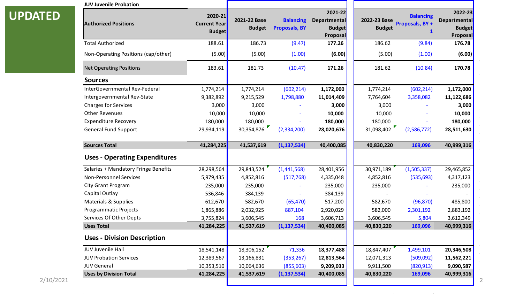|                | <b>JUV Juvenile Probation</b>        |                                                 |                               |                                          |                                                      |                               |                                                    |                                                             |
|----------------|--------------------------------------|-------------------------------------------------|-------------------------------|------------------------------------------|------------------------------------------------------|-------------------------------|----------------------------------------------------|-------------------------------------------------------------|
| <b>UPDATED</b> | <b>Authorized Positions</b>          | 2020-21<br><b>Current Year</b><br><b>Budget</b> | 2021-22 Base<br><b>Budget</b> | <b>Balancing</b><br><b>Proposals, BY</b> | 2021-22<br>Departmental<br><b>Budget</b><br>Proposal | 2022-23 Base<br><b>Budget</b> | <b>Balancing</b><br>Proposals, BY+<br>$\mathbf{1}$ | 2022-23<br><b>Departmental</b><br><b>Budget</b><br>Proposal |
|                | <b>Total Authorized</b>              | 188.61                                          | 186.73                        | (9.47)                                   | 177.26                                               | 186.62                        | (9.84)                                             | 176.78                                                      |
|                | Non-Operating Positions (cap/other)  | (5.00)                                          | (5.00)                        | (1.00)                                   | (6.00)                                               | (5.00)                        | (1.00)                                             | (6.00)                                                      |
|                | <b>Net Operating Positions</b>       | 183.61                                          | 181.73                        | (10.47)                                  | 171.26                                               | 181.62                        | (10.84)                                            | 170.78                                                      |
|                | <b>Sources</b>                       |                                                 |                               |                                          |                                                      |                               |                                                    |                                                             |
|                | InterGovernmental Rev-Federal        | 1,774,214                                       | 1,774,214                     | (602, 214)                               | 1,172,000                                            | 1,774,214                     | (602, 214)                                         | 1,172,000                                                   |
|                | Intergovernmental Rev-State          | 9,382,892                                       | 9,215,529                     | 1,798,880                                | 11,014,409                                           | 7,764,604                     | 3,358,082                                          | 11,122,686                                                  |
|                | Charges for Services                 | 3,000                                           | 3,000                         |                                          | 3,000                                                | 3,000                         |                                                    | 3,000                                                       |
|                | <b>Other Revenues</b>                | 10,000                                          | 10,000                        |                                          | 10,000                                               | 10,000                        |                                                    | 10,000                                                      |
|                | <b>Expenditure Recovery</b>          | 180,000                                         | 180,000                       |                                          | 180,000                                              | 180,000                       |                                                    | 180,000                                                     |
|                | <b>General Fund Support</b>          | 29,934,119                                      | 30,354,876                    | (2,334,200)                              | 28,020,676                                           | 31,098,402                    | (2,586,772)                                        | 28,511,630                                                  |
|                | <b>Sources Total</b>                 | 41,284,225                                      | 41,537,619                    | (1, 137, 534)                            | 40,400,085                                           | 40,830,220                    | 169,096                                            | 40,999,316                                                  |
|                | <b>Uses - Operating Expenditures</b> |                                                 |                               |                                          |                                                      |                               |                                                    |                                                             |
|                | Salaries + Mandatory Fringe Benefits | 28,298,564                                      | 29,843,524                    | (1,441,568)                              | 28,401,956                                           | 30,971,189                    | (1,505,337)                                        | 29,465,852                                                  |
|                | <b>Non-Personnel Services</b>        | 5,979,435                                       | 4,852,816                     | (517,768)                                | 4,335,048                                            | 4,852,816                     | (535, 693)                                         | 4,317,123                                                   |
|                | <b>City Grant Program</b>            | 235,000                                         | 235,000                       |                                          | 235,000                                              | 235,000                       |                                                    | 235,000                                                     |
|                | Capital Outlay                       | 536,846                                         | 384,139                       |                                          | 384,139                                              |                               |                                                    |                                                             |
|                | <b>Materials &amp; Supplies</b>      | 612,670                                         | 582,670                       | (65, 470)                                | 517,200                                              | 582,670                       | (96, 870)                                          | 485,800                                                     |
|                | Programmatic Projects                | 1,865,886                                       | 2,032,925                     | 887,104                                  | 2,920,029                                            | 582,000                       | 2,301,192                                          | 2,883,192                                                   |
|                | Services Of Other Depts              | 3,755,824                                       | 3,606,545                     | 168                                      | 3,606,713                                            | 3,606,545                     | 5,804                                              | 3,612,349                                                   |
|                | <b>Uses Total</b>                    | 41,284,225                                      | 41,537,619                    | (1, 137, 534)                            | 40,400,085                                           | 40,830,220                    | 169,096                                            | 40,999,316                                                  |
|                | <b>Uses - Division Description</b>   |                                                 |                               |                                          |                                                      |                               |                                                    |                                                             |
|                | JUV Juvenile Hall                    | 18,541,148                                      | 18,306,152                    | 71,336                                   | 18,377,488                                           | 18,847,407                    | 1,499,101                                          | 20,346,508                                                  |
|                | <b>JUV Probation Services</b>        | 12,389,567                                      | 13,166,831                    | (353, 267)                               | 12,813,564                                           | 12,071,313                    | (509,092)                                          | 11,562,221                                                  |
|                | <b>JUV General</b>                   | 10,353,510                                      | 10,064,636                    | (855, 603)                               | 9,209,033                                            | 9,911,500                     | (820, 913)                                         | 9,090,587                                                   |
| 2/10/2021      | <b>Uses by Division Total</b>        | 41,284,225                                      | 41,537,619                    | (1, 137, 534)                            | 40,400,085                                           | 40,830,220                    | 169,096                                            | 40,999,316                                                  |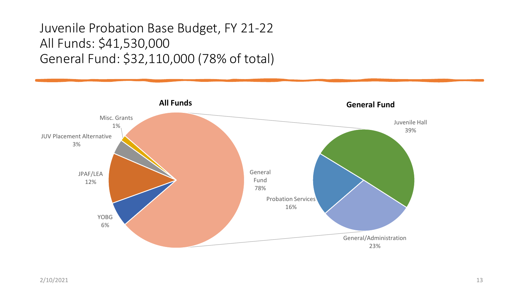### Juvenile Probation Base Budget, FY 21-22 All Funds: \$41,530,000 General Fund: \$32,110,000 (78% of total)

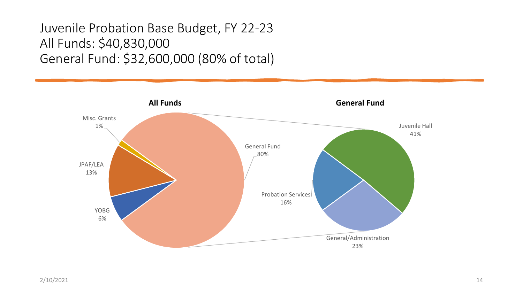### Juvenile Probation Base Budget, FY 22-23 All Funds: \$40,830,000 General Fund: \$32,600,000 (80% of total)

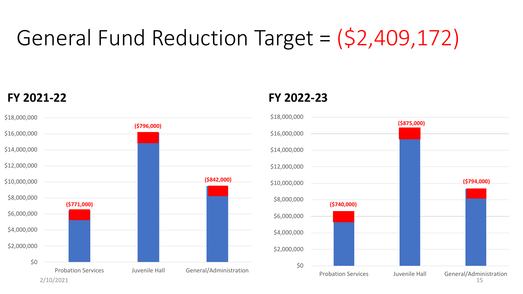### General Fund Reduction Target =  $(S2,409,1/2)$ General Fund Reduction Target = (\$2,409,172)



#### **FY 2021-22 FY 2022-23**

![](_page_14_Figure_4.jpeg)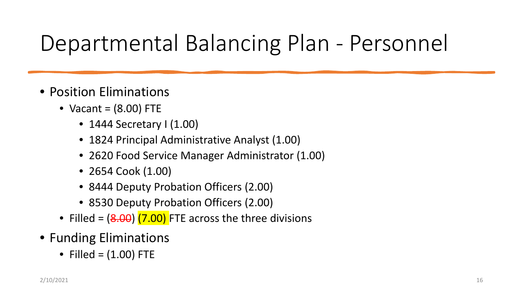## Departmental Balancing Plan - Personnel

- Position Eliminations
	- Vacant =  $(8.00)$  FTE
		- 1444 Secretary I (1.00)
		- 1824 Principal Administrative Analyst (1.00)
		- 2620 Food Service Manager Administrator (1.00)
		- 2654 Cook (1.00)
		- 8444 Deputy Probation Officers (2.00)
		- 8530 Deputy Probation Officers (2.00)
	- Filled =  $(8.00)$   $(7.00)$  FTE across the three divisions
- Funding Eliminations
	- Filled =  $(1.00)$  FTE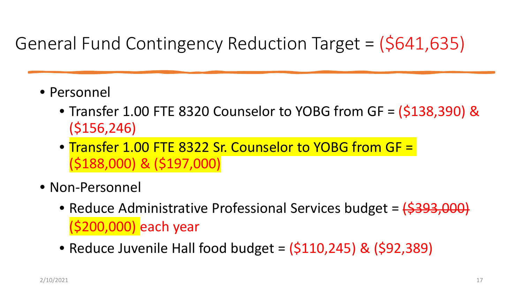## General Fund Contingency Reduction Target = (\$641,635)

- Personnel
	- Transfer 1.00 FTE 8320 Counselor to YOBG from GF = (\$138,390) & (\$156,246)
	- Transfer 1.00 FTE 8322 Sr. Counselor to YOBG from GF = (\$188,000) & (\$197,000)
- Non-Personnel
	- Reduce Administrative Professional Services budget = (\$393,000) (\$200,000) each year
	- Reduce Juvenile Hall food budget =  $(5110, 245)$  &  $(592, 389)$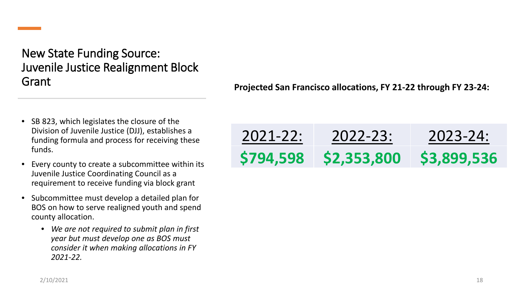New State Funding Source: Juvenile Justice Realignment Block Grant

- SB 823, which legislates the closure of the Division of Juvenile Justice (DJJ), establishes a funding formula and process for receiving these funds.
- Every county to create a subcommittee within its Juvenile Justice Coordinating Council as a requirement to receive funding via block grant
- Subcommittee must develop a detailed plan for BOS on how to serve realigned youth and spend county allocation.
	- *We are not required to submit plan in first year but must develop one as BOS must consider it when making allocations in FY 2021-22.*

**Projected San Francisco allocations, FY 21-22 through FY 23-24:**

| $2021 - 22:$ | 2022-23:    | 2023-24:    |
|--------------|-------------|-------------|
| \$794,598    | \$2,353,800 | \$3,899,536 |